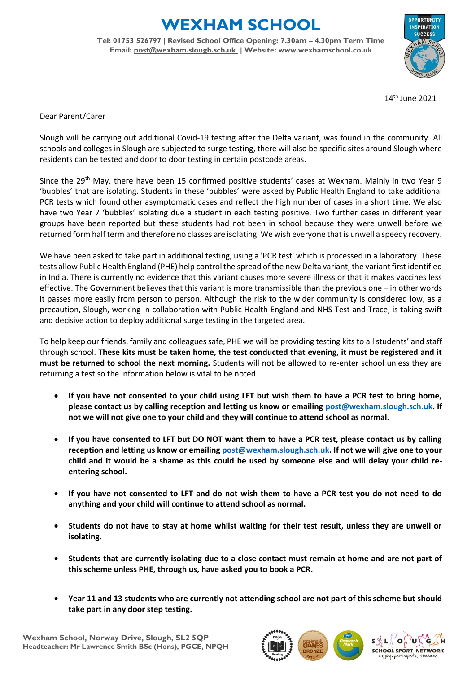## **WEXHAM SCHOOL**

**Tel: 01753 526797 | Revised School Office Opening: 7.30am – 4.30pm Term Time Email: [post@wexham.slough.sch.uk](mailto:post@wexham.slough.sch.uk) | Website: www.wexhamschool.co.uk**



14 th June 2021

Dear Parent/Carer

Slough will be carrying out additional Covid-19 testing after the Delta variant, was found in the community. All schools and colleges in Slough are subjected to surge testing, there will also be specific sites around Slough where residents can be tested and door to door testing in certain postcode areas.

Since the 29<sup>th</sup> May, there have been 15 confirmed positive students' cases at Wexham. Mainly in two Year 9 'bubbles' that are isolating. Students in these 'bubbles' were asked by Public Health England to take additional PCR tests which found other asymptomatic cases and reflect the high number of cases in a short time. We also have two Year 7 'bubbles' isolating due a student in each testing positive. Two further cases in different year groups have been reported but these students had not been in school because they were unwell before we returned form half term and therefore no classes are isolating. We wish everyone that is unwell a speedy recovery.

We have been asked to take part in additional testing, using a 'PCR test' which is processed in a laboratory. These tests allow Public Health England (PHE) help control the spread of the new Delta variant, the variant first identified in India. There is currently no evidence that this variant causes more severe illness or that it makes vaccines less effective. The Government believes that this variant is more transmissible than the previous one – in other words it passes more easily from person to person. Although the risk to the wider community is considered low, as a precaution, Slough, working in collaboration with Public Health England and NHS Test and Trace, is taking swift and decisive action to deploy additional surge testing in the targeted area.

To help keep our friends, family and colleagues safe, PHE we will be providing testing kits to all students' and staff through school. **These kits must be taken home, the test conducted that evening, it must be registered and it must be returned to school the next morning.** Students will not be allowed to re-enter school unless they are returning a test so the information below is vital to be noted.

- **If you have not consented to your child using LFT but wish them to have a PCR test to bring home, please contact us by calling reception and letting us know or emailing [post@wexham.slough.sch.uk.](mailto:post@wexham.slough.sch.uk) If not we will not give one to your child and they will continue to attend school as normal.**
- **If you have consented to LFT but DO NOT want them to have a PCR test, please contact us by calling reception and letting us know or emailing [post@wexham.slough.sch.uk.](mailto:post@wexham.slough.sch.uk) If not we will give one to your child and it would be a shame as this could be used by someone else and will delay your child reentering school.**
- **If you have not consented to LFT and do not wish them to have a PCR test you do not need to do anything and your child will continue to attend school as normal.**
- **Students do not have to stay at home whilst waiting for their test result, unless they are unwell or isolating.**
- **Students that are currently isolating due to a close contact must remain at home and are not part of this scheme unless PHE, through us, have asked you to book a PCR.**
- **Year 11 and 13 students who are currently not attending school are not part of this scheme but should take part in any door step testing.**